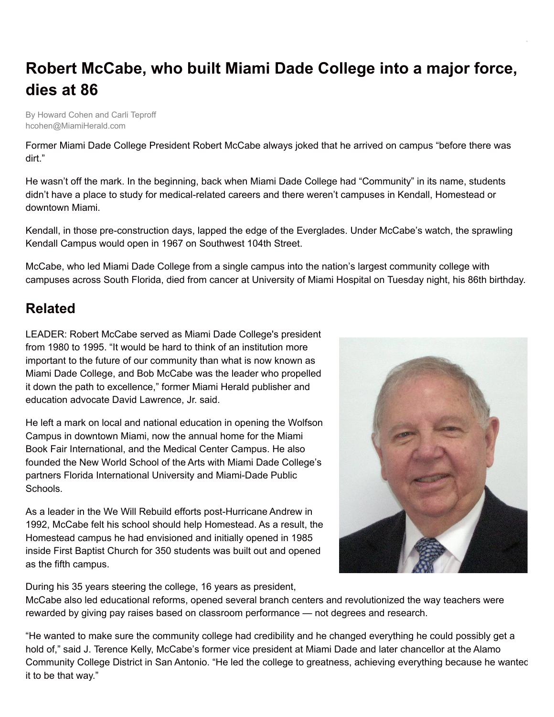## **Robert McCabe, who built Miami Dade College into a major force, dies at 86**

By Howard Cohen and Carli Teproff hcohen@MiamiHerald.com

Former Miami Dade College President Robert McCabe always joked that he arrived on campus "before there was dirt."

He wasn't off the mark. In the beginning, back when Miami Dade College had "Community" in its name, students didn't have a place to study for medical-related careers and there weren't campuses in Kendall, Homestead or downtown Miami.

Kendall, in those pre-construction days, lapped the edge of the Everglades. Under McCabe's watch, the sprawling Kendall Campus would open in 1967 on Southwest 104th Street.

McCabe, who led Miami Dade College from a single campus into the nation's largest community college with campuses across South Florida, died from cancer at University of Miami Hospital on Tuesday night, his 86th birthday.

## **Related**

LEADER: Robert McCabe served as Miami Dade College's president from 1980 to 1995. "It would be hard to think of an institution more important to the future of our community than what is now known as Miami Dade College, and Bob McCabe was the leader who propelled it down the path to excellence," former Miami Herald publisher and education advocate David Lawrence, Jr. said.

He left a mark on local and national education in opening the Wolfson Campus in downtown Miami, now the annual home for the Miami Book Fair International, and the Medical Center Campus. He also founded the New World School of the Arts with Miami Dade College's partners Florida International University and Miami-Dade Public Schools.

As a leader in the We Will Rebuild efforts post-Hurricane Andrew in 1992, McCabe felt his school should help Homestead. As a result, the Homestead campus he had envisioned and initially opened in 1985 inside First Baptist Church for 350 students was built out and opened as the fifth campus.



During his 35 years steering the college, 16 years as president,

McCabe also led educational reforms, opened several branch centers and revolutionized the way teachers were rewarded by giving pay raises based on classroom performance — not degrees and research.

"He wanted to make sure the community college had credibility and he changed everything he could possibly get a hold of," said J. Terence Kelly, McCabe's former vice president at Miami Dade and later chancellor at the Alamo Community College District in San Antonio. "He led the college to greatness, achieving everything because he wanted it to be that way."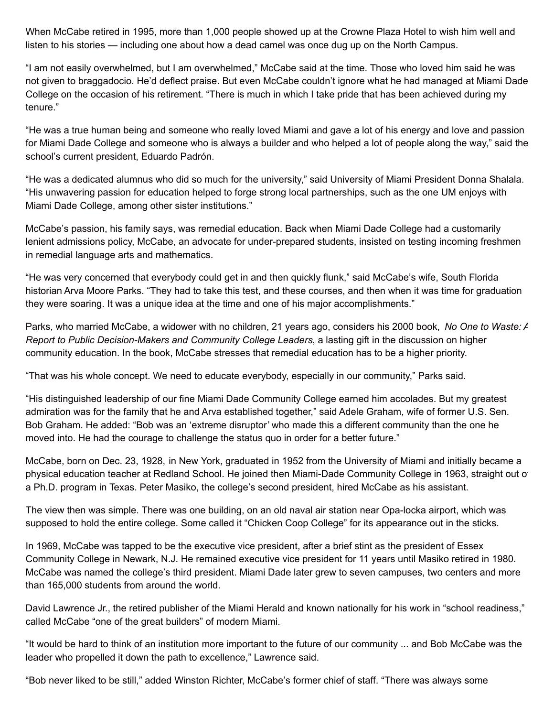When McCabe retired in 1995, more than 1,000 people showed up at the Crowne Plaza Hotel to wish him well and listen to his stories — including one about how a dead camel was once dug up on the North Campus.

"I am not easily overwhelmed, but I am overwhelmed," McCabe said at the time. Those who loved him said he was not given to braggadocio. He'd deflect praise. But even McCabe couldn't ignore what he had managed at Miami Dade College on the occasion of his retirement. "There is much in which I take pride that has been achieved during my tenure."

"He was a true human being and someone who really loved Miami and gave a lot of his energy and love and passion for Miami Dade College and someone who is always a builder and who helped a lot of people along the way," said the school's current president, Eduardo Padrón.

"He was a dedicated alumnus who did so much for the university," said University of Miami President Donna Shalala. "His unwavering passion for education helped to forge strong local partnerships, such as the one UM enjoys with Miami Dade College, among other sister institutions."

McCabe's passion, his family says, was remedial education. Back when Miami Dade College had a customarily lenient admissions policy, McCabe, an advocate for under-prepared students, insisted on testing incoming freshmen in remedial language arts and mathematics.

"He was very concerned that everybody could get in and then quickly flunk," said McCabe's wife, South Florida historian Arva Moore Parks. "They had to take this test, and these courses, and then when it was time for graduation they were soaring. It was a unique idea at the time and one of his major accomplishments."

Parks, who married McCabe, a widower with no children, 21 years ago, considers his 2000 book, *No One to Waste: A Report to Public Decision-Makers and Community College Leaders*, a lasting gift in the discussion on higher community education. In the book, McCabe stresses that remedial education has to be a higher priority.

"That was his whole concept. We need to educate everybody, especially in our community," Parks said.

"His distinguished leadership of our fine Miami Dade Community College earned him accolades. But my greatest admiration was for the family that he and Arva established together," said Adele Graham, wife of former U.S. Sen. Bob Graham. He added: "Bob was an 'extreme disruptor' who made this a different community than the one he moved into. He had the courage to challenge the status quo in order for a better future."

McCabe, born on Dec. 23, 1928, in New York, graduated in 1952 from the University of Miami and initially became a physical education teacher at Redland School. He joined then Miami-Dade Community College in 1963, straight out of a Ph.D. program in Texas. Peter Masiko, the college's second president, hired McCabe as his assistant.

The view then was simple. There was one building, on an old naval air station near Opa-locka airport, which was supposed to hold the entire college. Some called it "Chicken Coop College" for its appearance out in the sticks.

In 1969, McCabe was tapped to be the executive vice president, after a brief stint as the president of Essex Community College in Newark, N.J. He remained executive vice president for 11 years until Masiko retired in 1980. McCabe was named the college's third president. Miami Dade later grew to seven campuses, two centers and more than 165,000 students from around the world.

David Lawrence Jr., the retired publisher of the Miami Herald and known nationally for his work in "school readiness," called McCabe "one of the great builders" of modern Miami.

"It would be hard to think of an institution more important to the future of our community ... and Bob McCabe was the leader who propelled it down the path to excellence," Lawrence said.

"Bob never liked to be still," added Winston Richter, McCabe's former chief of staff. "There was always some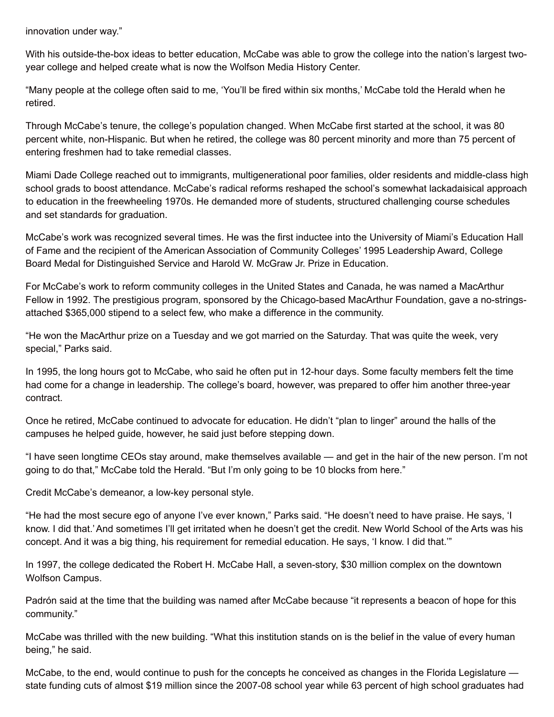innovation under way."

With his outside-the-box ideas to better education, McCabe was able to grow the college into the nation's largest twoyear college and helped create what is now the Wolfson Media History Center.

"Many people at the college often said to me, 'You'll be fired within six months,' McCabe told the Herald when he retired.

Through McCabe's tenure, the college's population changed. When McCabe first started at the school, it was 80 percent white, non-Hispanic. But when he retired, the college was 80 percent minority and more than 75 percent of entering freshmen had to take remedial classes.

Miami Dade College reached out to immigrants, multigenerational poor families, older residents and middle-class high school grads to boost attendance. McCabe's radical reforms reshaped the school's somewhat lackadaisical approach to education in the freewheeling 1970s. He demanded more of students, structured challenging course schedules and set standards for graduation.

McCabe's work was recognized several times. He was the first inductee into the University of Miami's Education Hall of Fame and the recipient of the American Association of Community Colleges' 1995 Leadership Award, College Board Medal for Distinguished Service and Harold W. McGraw Jr. Prize in Education.

For McCabe's work to reform community colleges in the United States and Canada, he was named a MacArthur Fellow in 1992. The prestigious program, sponsored by the Chicago-based MacArthur Foundation, gave a no-stringsattached \$365,000 stipend to a select few, who make a difference in the community.

"He won the MacArthur prize on a Tuesday and we got married on the Saturday. That was quite the week, very special," Parks said.

In 1995, the long hours got to McCabe, who said he often put in 12-hour days. Some faculty members felt the time had come for a change in leadership. The college's board, however, was prepared to offer him another three-year contract.

Once he retired, McCabe continued to advocate for education. He didn't "plan to linger" around the halls of the campuses he helped guide, however, he said just before stepping down.

"I have seen longtime CEOs stay around, make themselves available — and get in the hair of the new person. I'm not going to do that," McCabe told the Herald. "But I'm only going to be 10 blocks from here."

Credit McCabe's demeanor, a low-key personal style.

"He had the most secure ego of anyone I've ever known," Parks said. "He doesn't need to have praise. He says, 'I know. I did that.'And sometimes I'll get irritated when he doesn't get the credit. New World School of the Arts was his concept. And it was a big thing, his requirement for remedial education. He says, 'I know. I did that.'"

In 1997, the college dedicated the Robert H. McCabe Hall, a seven-story, \$30 million complex on the downtown Wolfson Campus.

Padrón said at the time that the building was named after McCabe because "it represents a beacon of hope for this community."

McCabe was thrilled with the new building. "What this institution stands on is the belief in the value of every human being," he said.

McCabe, to the end, would continue to push for the concepts he conceived as changes in the Florida Legislature state funding cuts of almost \$19 million since the 2007-08 school year while 63 percent of high school graduates had